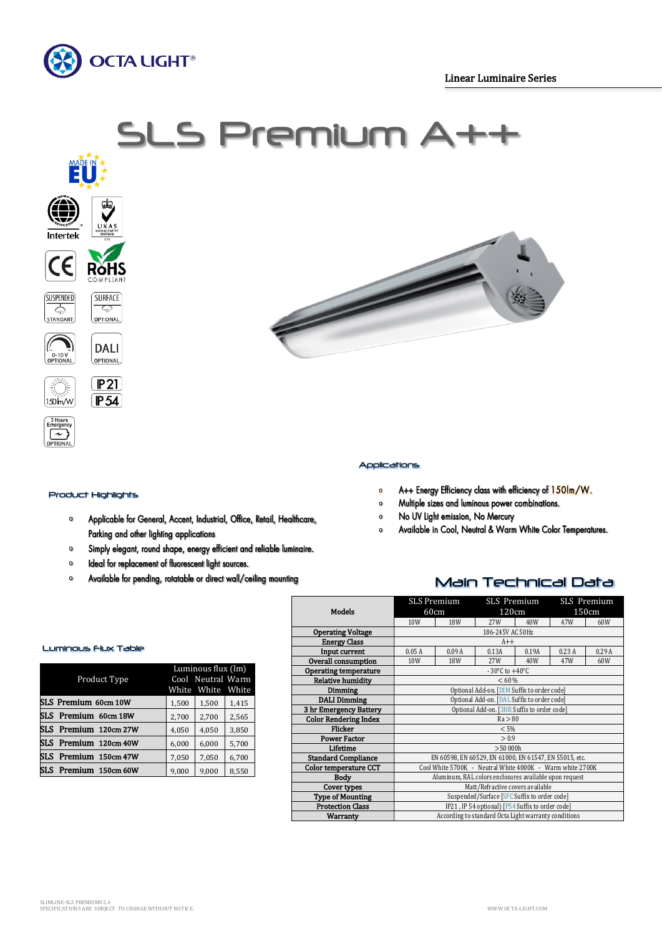





### Product Highlights

 $\overline{a}$ 

3 Hours<br>mergen  $\sqrt{1}$ OPTIONAL

- Applicable for General, Accent, Industrial, Office, Retail, Healthcare,  $\bullet$ Parking and other lighting applications
- Simply elegant, round shape, energy efficient and reliable luminaire.  $\mathbf{o}$
- Ideal for replacement of fluorescent light sources.  $\circ$
- $\circ$ Available for pending, rotatable or direct wall/ceiling mounting

### Applications

- A++ Energy Efficiency class with efficiency of 150lm/W.  $\bullet$
- Multiple sizes and luminous power combinations.  $\circ$
- No UV Light emission, No Mercury  $\circ$
- Available in Cool, Neutral & Warm White Color Temperatures.  $\circ$

### Main Technical Data

| <b>Models</b>                | SLS Premium<br>60cm                                       |            | SLS Premium<br>120cm                                  |       | SLS Premium<br>150cm |       |
|------------------------------|-----------------------------------------------------------|------------|-------------------------------------------------------|-------|----------------------|-------|
|                              | 10W                                                       | <b>18W</b> | 27W                                                   | 40W   | 47W                  | 60W   |
| <b>Operating Voltage</b>     | 186-245V AC 50Hz                                          |            |                                                       |       |                      |       |
| <b>Energy Class</b>          |                                                           |            | $A++$                                                 |       |                      |       |
| Input current                | 0.05A                                                     | 0.09A      | 0.13A                                                 | 0.19A | 0.23A                | 0.29A |
| Overall consumption          | 10W                                                       | 18W        | 27W                                                   | 40W   | 47W                  | 60W   |
| <b>Operating temperature</b> |                                                           |            | - 30 $\mathrm{^{\circ}C}$ to +40 $\mathrm{^{\circ}C}$ |       |                      |       |
| <b>Relative humidity</b>     | < 60 %                                                    |            |                                                       |       |                      |       |
| Dimming                      | Optional Add-on. [DIM Suffix to order code]               |            |                                                       |       |                      |       |
| <b>DALI Dimming</b>          | Optional Add-on. [DAL Suffix to order code]               |            |                                                       |       |                      |       |
| 3 hr Emergency Battery       | Optional Add-on. [3HR Suffix to order code]               |            |                                                       |       |                      |       |
| <b>Color Rendering Index</b> | Ra > 80                                                   |            |                                                       |       |                      |       |
| Flicker                      | < 5%                                                      |            |                                                       |       |                      |       |
| <b>Power Factor</b>          | > 0.9                                                     |            |                                                       |       |                      |       |
| Lifetime                     | >50000h                                                   |            |                                                       |       |                      |       |
| <b>Standard Compliance</b>   | EN 60598, EN 60529, EN 61000, EN 61547, EN 55015, etc.    |            |                                                       |       |                      |       |
| Color temperature CCT        | Cool White 5700K - Neutral White 4000K - Warm white 2700K |            |                                                       |       |                      |       |
| <b>Body</b>                  | Aluminum, RAL colors enclosures available upon request    |            |                                                       |       |                      |       |
| Cover types                  | Matt/Refractive covers available                          |            |                                                       |       |                      |       |
| <b>Type of Mounting</b>      | Suspended/Surface [SFC Suffix to order code]              |            |                                                       |       |                      |       |
| <b>Protection Class</b>      | IP21, IP 54 optional) [P54 Suffix to order code]          |            |                                                       |       |                      |       |
| Warranty                     | According to standard Octa Light warranty conditions      |            |                                                       |       |                      |       |

# Luminous Flux Table

|                       | Luminous flux (lm) |                   |       |  |
|-----------------------|--------------------|-------------------|-------|--|
| Product Type          |                    | Cool Neutral Warm |       |  |
|                       |                    | White White White |       |  |
| SLS Premium 60cm 10W  | 1,500              | 1,500             | 1,415 |  |
| SLS Premium 60cm 18W  | 2,700              | 2.700             | 2,565 |  |
| SLS Premium 120cm 27W | 4,050              | 4,050             | 3,850 |  |
| SLS Premium 120cm 40W | 6,000              | 6,000             | 5,700 |  |
| SLS Premium 150cm 47W | 7,050              | 7,050             | 6,700 |  |
| SLS Premium 150cm 60W | 9,000              | 9.000             | 8,550 |  |